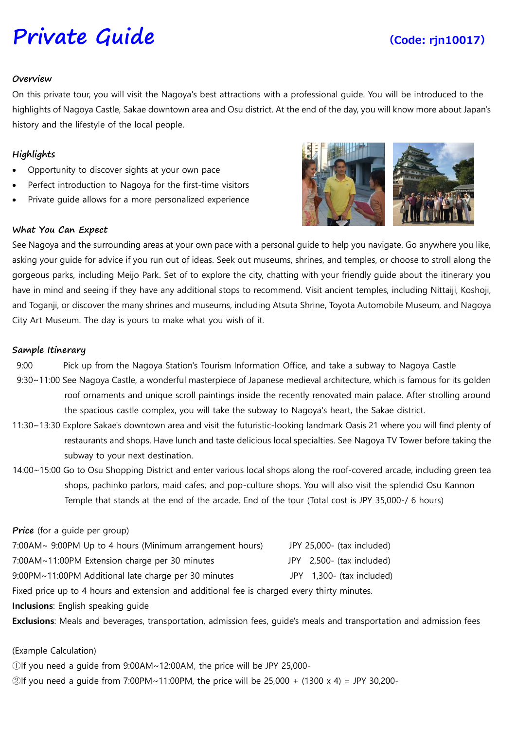# **[Private](https://www.viator.com/tours/Nagoya/Japanese-Food-Sample-Making-in-Nagoya/d4701-27453P15) Guide (Code: rjn10017)**

### **Overview**

On this private tour, you will visit the Nagoya's best attractions with a professional guide. You will be introduced to the highlights of Nagoya Castle, Sakae downtown area and Osu district. At the end of the day, you will know more about Japan's history and the lifestyle of the local people.

## **Highlights**

- Opportunity to discover sights at your own pace
- Perfect introduction to Nagoya for the first-time visitors
- Private guide allows for a more personalized experience

### **What You Can Expect**

See Nagoya and the surrounding areas at your own pace with a personal guide to help you navigate. Go anywhere you like, asking your guide for advice if you run out of ideas. Seek out museums, shrines, and temples, or choose to stroll along the gorgeous parks, including Meijo Park. Set of to explore the city, chatting with your friendly guide about the itinerary you have in mind and seeing if they have any additional stops to recommend. Visit ancient temples, including Nittaiji, Koshoji, and Toganji, or discover the many shrines and museums, including Atsuta Shrine, Toyota Automobile Museum, and Nagoya City Art Museum. The day is yours to make what you wish of it.

### **Sample Itinerary**

9:00 Pick up from the Nagoya Station's Tourism Information Office, and take a subway to Nagoya Castle

- 9:30~11:00 See Nagoya Castle, a wonderful masterpiece of Japanese medieval architecture, which is famous for its golden roof ornaments and unique scroll paintings inside the recently renovated main palace. After strolling around the spacious castle complex, you will take the subway to Nagoya's heart, the Sakae district.
- 11:30~13:30 Explore Sakae's downtown area and visit the futuristic-looking landmark Oasis 21 where you will find plenty of restaurants and shops. Have lunch and taste delicious local specialties. See Nagoya TV Tower before taking the subway to your next destination.
- 14:00~15:00 Go to Osu Shopping District and enter various local shops along the roof-covered arcade, including green tea shops, pachinko parlors, maid cafes, and pop-culture shops. You will also visit the splendid Osu Kannon Temple that stands at the end of the arcade. End of the tour (Total cost is JPY 35,000-/ 6 hours)

#### **Price** (for a guide per group)

| 7:00AM~ 9:00PM Up to 4 hours (Minimum arrangement hours)                                    |  | JPY 25,000- (tax included) |
|---------------------------------------------------------------------------------------------|--|----------------------------|
| 7:00AM~11:00PM Extension charge per 30 minutes                                              |  | JPY 2,500- (tax included)  |
| 9:00PM~11:00PM Additional late charge per 30 minutes                                        |  | JPY 1,300- (tax included)  |
| Fixed price up to 4 hours and extension and additional fee is charged every thirty minutes. |  |                            |

**Inclusions**: English speaking guide

**Exclusions**: Meals and beverages, transportation, admission fees, guide's meals and transportation and admission fees

#### (Example Calculation)

①If you need a guide from 9:00AM~12:00AM, the price will be JPY 25,000-

 $\textcircled{2}$  If you need a quide from 7:00PM~11:00PM, the price will be 25,000 + (1300 x 4) = JPY 30,200-